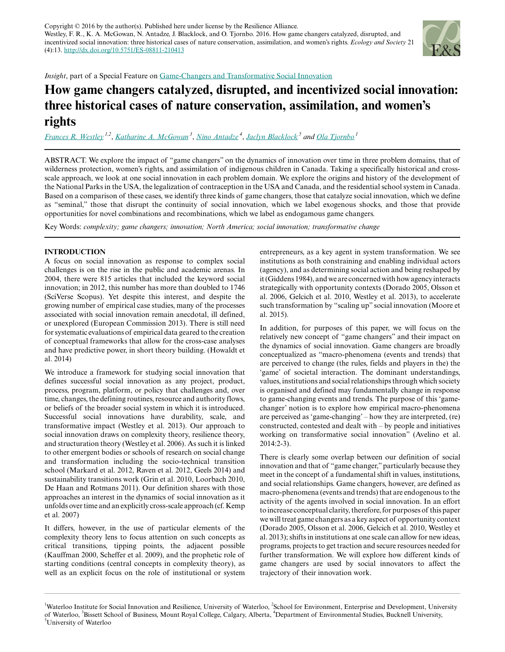Copyright © 2016 by the author(s). Published here under license by the Resilience Alliance. Westley, F. R., K. A. McGowan, N. Antadze, J. Blacklock, and O. Tjornbo. 2016. How game changers catalyzed, disrupted, and incentivized social innovation: three historical cases of nature conservation, assimilation, and women's rights. *Ecology and Society* 21 (4):13. <http://dx.doi.org/10.5751/ES-08811-210413>



*Insight*, part of a Special Feature on [Game-Changers and Transformative Social Innovation](http://www.ecologyandsociety.org/viewissue.php?sf=114)

# **How game changers catalyzed, disrupted, and incentivized social innovation: three historical cases of nature conservation, assimilation, and women's rights**

*[Frances R. Westley](mailto:fwestley@uwaterloo.ca) 1,2* , *[Katharine A. McGowan](mailto:kmcgowan@mtroyal.ca)<sup>3</sup>* , *[Nino Antadze](mailto:na011@bucknell.edu)<sup>4</sup>* , *[Jaclyn Blacklock](mailto:jblacklo@uwaterloo.ca)<sup>5</sup> and [Ola Tjornbo](mailto:ola.tjornbo@gmail.com)<sup>1</sup>*

ABSTRACT. We explore the impact of "game changers" on the dynamics of innovation over time in three problem domains, that of wilderness protection, women's rights, and assimilation of indigenous children in Canada. Taking a specifically historical and crossscale approach, we look at one social innovation in each problem domain. We explore the origins and history of the development of the National Parks in the USA, the legalization of contraception in the USA and Canada, and the residential school system in Canada. Based on a comparison of these cases, we identify three kinds of game changers, those that catalyze social innovation, which we define as "seminal," those that disrupt the continuity of social innovation, which we label exogenous shocks, and those that provide opportunities for novel combinations and recombinations, which we label as endogamous game changers.

Key Words: *complexity; game changers; innovation; North America; social innovation; transformative change*

# **INTRODUCTION**

A focus on social innovation as response to complex social challenges is on the rise in the public and academic arenas. In 2004, there were 815 articles that included the keyword social innovation; in 2012, this number has more than doubled to 1746 (SciVerse Scopus). Yet despite this interest, and despite the growing number of empirical case studies, many of the processes associated with social innovation remain anecdotal, ill defined, or unexplored (European Commission 2013). There is still need for systematic evaluations of empirical data geared to the creation of conceptual frameworks that allow for the cross-case analyses and have predictive power, in short theory building. (Howaldt et al. 2014)

We introduce a framework for studying social innovation that defines successful social innovation as any project, product, process, program, platform, or policy that challenges and, over time, changes, the defining routines, resource and authority flows, or beliefs of the broader social system in which it is introduced. Successful social innovations have durability, scale, and transformative impact (Westley et al. 2013). Our approach to social innovation draws on complexity theory, resilience theory, and structuration theory (Westley et al. 2006). As such it is linked to other emergent bodies or schools of research on social change and transformation including the socio-technical transition school (Markard et al. 2012, Raven et al. 2012, Geels 2014) and sustainability transitions work (Grin et al. 2010, Loorbach 2010, De Haan and Rotmans 2011). Our definition shares with those approaches an interest in the dynamics of social innovation as it unfolds over time and an explicitly cross-scale approach (cf. Kemp et al. 2007)

It differs, however, in the use of particular elements of the complexity theory lens to focus attention on such concepts as critical transitions, tipping points, the adjacent possible (Kauffman 2000, Scheffer et al. 2009), and the prophetic role of starting conditions (central concepts in complexity theory), as well as an explicit focus on the role of institutional or system entrepreneurs, as a key agent in system transformation. We see institutions as both constraining and enabling individual actors (agency), and as determining social action and being reshaped by it (Giddens 1984), and we are concerned with how agency interacts strategically with opportunity contexts (Dorado 2005, Olsson et al. 2006, Gelcich et al. 2010, Westley et al. 2013), to accelerate such transformation by "scaling up" social innovation (Moore et al. 2015).

In addition, for purposes of this paper, we will focus on the relatively new concept of "game changers" and their impact on the dynamics of social innovation. Game changers are broadly conceptualized as "macro-phenomena (events and trends) that are perceived to change (the rules, fields and players in the) the 'game' of societal interaction. The dominant understandings, values, institutions and social relationships through which society is organised and defined may fundamentally change in response to game-changing events and trends. The purpose of this 'gamechanger' notion is to explore how empirical macro-phenomena are perceived as 'game-changing' – how they are interpreted, (re) constructed, contested and dealt with – by people and initiatives working on transformative social innovation" (Avelino et al. 2014:2-3).

There is clearly some overlap between our definition of social innovation and that of "game changer," particularly because they meet in the concept of a fundamental shift in values, institutions, and social relationships. Game changers, however, are defined as macro-phenomena (events and trends) that are endogenous to the activity of the agents involved in social innovation. In an effort to increase conceptual clarity, therefore, for purposes of this paper we will treat game changers as a key aspect of opportunity context (Dorado 2005, Olsson et al. 2006, Gelcich et al. 2010, Westley et al. 2013); shifts in institutions at one scale can allow for new ideas, programs, projects to get traction and secure resources needed for further transformation. We will explore how different kinds of game changers are used by social innovators to affect the trajectory of their innovation work.

<sup>&</sup>lt;sup>1</sup>Waterloo Institute for Social Innovation and Resilience, University of Waterloo, <sup>2</sup>School for Environment, Enterprise and Development, University of Waterloo, <sup>3</sup>Bissett School of Business, Mount Royal College, Calgary, Alberta, <sup>4</sup>Department of Environmental Studies, Bucknell University, <sup>5</sup>University of Waterloo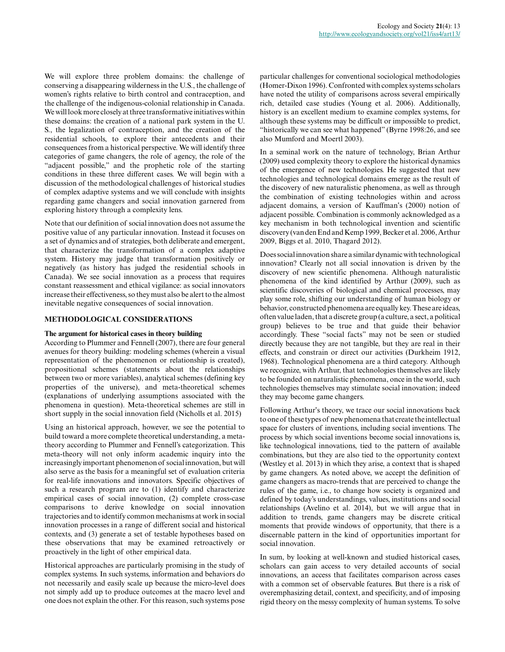We will explore three problem domains: the challenge of conserving a disappearing wilderness in the U.S., the challenge of women's rights relative to birth control and contraception, and the challenge of the indigenous-colonial relationship in Canada. We will look more closely at three transformative initiatives within these domains: the creation of a national park system in the U. S., the legalization of contraception, and the creation of the residential schools, to explore their antecedents and their consequences from a historical perspective. We will identify three categories of game changers, the role of agency, the role of the "adjacent possible," and the prophetic role of the starting conditions in these three different cases. We will begin with a discussion of the methodological challenges of historical studies of complex adaptive systems and we will conclude with insights regarding game changers and social innovation garnered from exploring history through a complexity lens.

Note that our definition of social innovation does not assume the positive value of any particular innovation. Instead it focuses on a set of dynamics and of strategies, both deliberate and emergent, that characterize the transformation of a complex adaptive system. History may judge that transformation positively or negatively (as history has judged the residential schools in Canada). We see social innovation as a process that requires constant reassessment and ethical vigilance: as social innovators increase their effectiveness, so they must also be alert to the almost inevitable negative consequences of social innovation.

## **METHODOLOGICAL CONSIDERATIONS**

#### **The argument for historical cases in theory building**

According to Plummer and Fennell (2007), there are four general avenues for theory building: modeling schemes (wherein a visual representation of the phenomenon or relationship is created), propositional schemes (statements about the relationships between two or more variables), analytical schemes (defining key properties of the universe), and meta-theoretical schemes (explanations of underlying assumptions associated with the phenomena in question). Meta-theoretical schemes are still in short supply in the social innovation field (Nicholls et al. 2015)

Using an historical approach, however, we see the potential to build toward a more complete theoretical understanding, a metatheory according to Plummer and Fennell's categorization. This meta-theory will not only inform academic inquiry into the increasingly important phenomenon of social innovation, but will also serve as the basis for a meaningful set of evaluation criteria for real-life innovations and innovators. Specific objectives of such a research program are to (1) identify and characterize empirical cases of social innovation, (2) complete cross-case comparisons to derive knowledge on social innovation trajectories and to identify common mechanisms at work in social innovation processes in a range of different social and historical contexts, and (3) generate a set of testable hypotheses based on these observations that may be examined retroactively or proactively in the light of other empirical data.

Historical approaches are particularly promising in the study of complex systems. In such systems, information and behaviors do not necessarily and easily scale up because the micro-level does not simply add up to produce outcomes at the macro level and one does not explain the other. For this reason, such systems pose

particular challenges for conventional sociological methodologies (Homer-Dixon 1996). Confronted with complex systems scholars have noted the utility of comparisons across several empirically rich, detailed case studies (Young et al. 2006). Additionally, history is an excellent medium to examine complex systems, for although these systems may be difficult or impossible to predict, "historically we can see what happened" (Byrne 1998:26, and see also Mumford and Moertl 2003).

In a seminal work on the nature of technology, Brian Arthur (2009) used complexity theory to explore the historical dynamics of the emergence of new technologies. He suggested that new technologies and technological domains emerge as the result of the discovery of new naturalistic phenomena, as well as through the combination of existing technologies within and across adjacent domains, a version of Kauffman's (2000) notion of adjacent possible. Combination is commonly acknowledged as a key mechanism in both technological invention and scientific discovery (van den End and Kemp 1999, Becker et al. 2006, Arthur 2009, Biggs et al. 2010, Thagard 2012).

Does social innovation share a similar dynamic with technological innovation? Clearly not all social innovation is driven by the discovery of new scientific phenomena. Although naturalistic phenomena of the kind identified by Arthur (2009), such as scientific discoveries of biological and chemical processes, may play some role, shifting our understanding of human biology or behavior, constructed phenomena are equally key. These are ideas, often value laden, that a discrete group (a culture, a sect, a political group) believes to be true and that guide their behavior accordingly. These "social facts" may not be seen or studied directly because they are not tangible, but they are real in their effects, and constrain or direct our activities (Durkheim 1912, 1968). Technological phenomena are a third category. Although we recognize, with Arthur, that technologies themselves are likely to be founded on naturalistic phenomena, once in the world, such technologies themselves may stimulate social innovation; indeed they may become game changers.

Following Arthur's theory, we trace our social innovations back to one of these types of new phenomena that create the intellectual space for clusters of inventions, including social inventions. The process by which social inventions become social innovations is, like technological innovations, tied to the pattern of available combinations, but they are also tied to the opportunity context (Westley et al. 2013) in which they arise, a context that is shaped by game changers. As noted above, we accept the definition of game changers as macro-trends that are perceived to change the rules of the game, i.e., to change how society is organized and defined by today's understandings, values, institutions and social relationships (Avelino et al. 2014), but we will argue that in addition to trends, game changers may be discrete critical moments that provide windows of opportunity, that there is a discernable pattern in the kind of opportunities important for social innovation.

In sum, by looking at well-known and studied historical cases, scholars can gain access to very detailed accounts of social innovations, an access that facilitates comparison across cases with a common set of observable features. But there is a risk of overemphasizing detail, context, and specificity, and of imposing rigid theory on the messy complexity of human systems. To solve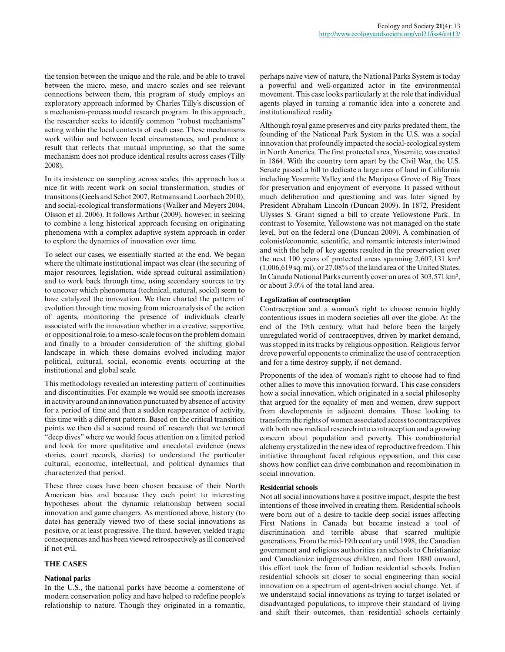the tension between the unique and the rule, and be able to travel between the micro, meso, and macro scales and see relevant connections between them, this program of study employs an exploratory approach informed by Charles Tilly's discussion of a mechanism-process model research program. In this approach, the researcher seeks to identify common "robust mechanisms" acting within the local contexts of each case. These mechanisms work within and between local circumstances, and produce a result that reflects that mutual imprinting, so that the same mechanism does not produce identical results across cases (Tilly 2008).

In its insistence on sampling across scales, this approach has a nice fit with recent work on social transformation, studies of transitions (Geels and Schot 2007, Rotmans and Loorbach 2010), and social-ecological transformations (Walker and Meyers 2004, Olsson et al. 2006). It follows Arthur (2009), however, in seeking to combine a long historical approach focusing on originating phenomena with a complex adaptive system approach in order to explore the dynamics of innovation over time.

To select our cases, we essentially started at the end. We began where the ultimate institutional impact was clear (the securing of major resources, legislation, wide spread cultural assimilation) and to work back through time, using secondary sources to try to uncover which phenomena (technical, natural, social) seem to have catalyzed the innovation. We then charted the pattern of evolution through time moving from microanalysis of the action of agents, monitoring the presence of individuals clearly associated with the innovation whether in a creative, supportive, or oppositional role, to a meso-scale focus on the problem domain and finally to a broader consideration of the shifting global landscape in which these domains evolved including major political, cultural, social, economic events occurring at the institutional and global scale.

This methodology revealed an interesting pattern of continuities and discontinuities. For example we would see smooth increases in activity around an innovation punctuated by absence of activity for a period of time and then a sudden reappearance of activity, this time with a different pattern. Based on the critical transition points we then did a second round of research that we termed "deep dives" where we would focus attention on a limited period and look for more qualitative and anecdotal evidence (news stories, court records, diaries) to understand the particular cultural, economic, intellectual, and political dynamics that characterized that period.

These three cases have been chosen because of their North American bias and because they each point to interesting hypotheses about the dynamic relationship between social innovation and game changers. As mentioned above, history (to date) has generally viewed two of these social innovations as positive, or at least progressive. The third, however, yielded tragic consequences and has been viewed retrospectively as ill conceived if not evil.

# **THE CASES**

#### **National parks**

In the U.S., the national parks have become a cornerstone of modern conservation policy and have helped to redefine people's relationship to nature. Though they originated in a romantic, perhaps naive view of nature, the National Parks System is today a powerful and well-organized actor in the environmental movement. This case looks particularly at the role that individual agents played in turning a romantic idea into a concrete and institutionalized reality.

Although royal game preserves and city parks predated them, the founding of the National Park System in the U.S. was a social innovation that profoundly impacted the social-ecological system in North America. The first protected area, Yosemite, was created in 1864. With the country torn apart by the Civil War, the U.S. Senate passed a bill to dedicate a large area of land in California including Yosemite Valley and the Mariposa Grove of Big Trees for preservation and enjoyment of everyone. It passed without much deliberation and questioning and was later signed by President Abraham Lincoln (Duncan 2009). In 1872, President Ulysses S. Grant signed a bill to create Yellowstone Park. In contrast to Yosemite, Yellowstone was not managed on the state level, but on the federal one (Duncan 2009). A combination of colonist/economic, scientific, and romantic interests intertwined and with the help of key agents resulted in the preservation over the next 100 years of protected areas spanning 2,607,131 km² (1,006,619 sq. mi), or 27.08% of the land area of the United States. In Canada National Parks currently cover an area of 303,571 km², or about 3.0% of the total land area.

#### **Legalization of contraception**

Contraception and a woman's right to choose remain highly contentious issues in modern societies all over the globe. At the end of the 19th century, what had before been the largely unregulated world of contraceptives, driven by market demand, was stopped in its tracks by religious opposition. Religious fervor drove powerful opponents to criminalize the use of contraception and for a time destroy supply, if not demand.

Proponents of the idea of woman's right to choose had to find other allies to move this innovation forward. This case considers how a social innovation, which originated in a social philosophy that argued for the equality of men and women, drew support from developments in adjacent domains. Those looking to transform the rights of women associated access to contraceptives with both new medical research into contraception and a growing concern about population and poverty. This combinatorial alchemy crystalized in the new idea of reproductive freedom. This initiative throughout faced religious opposition, and this case shows how conflict can drive combination and recombination in social innovation.

#### **Residential schools**

Not all social innovations have a positive impact, despite the best intentions of those involved in creating them. Residential schools were born out of a desire to tackle deep social issues affecting First Nations in Canada but became instead a tool of discrimination and terrible abuse that scarred multiple generations. From the mid-19th century until 1998, the Canadian government and religious authorities ran schools to Christianize and Canadianize indigenous children, and from 1880 onward, this effort took the form of Indian residential schools. Indian residential schools sit closer to social engineering than social innovation on a spectrum of agent-driven social change. Yet, if we understand social innovations as trying to target isolated or disadvantaged populations, to improve their standard of living and shift their outcomes, than residential schools certainly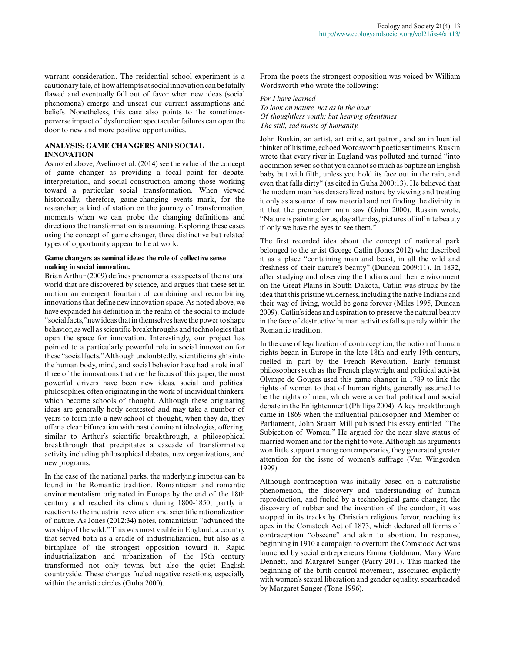warrant consideration. The residential school experiment is a cautionary tale, of how attempts at social innovation can be fatally flawed and eventually fall out of favor when new ideas (social phenomena) emerge and unseat our current assumptions and beliefs. Nonetheless, this case also points to the sometimesperverse impact of dysfunction: spectacular failures can open the door to new and more positive opportunities.

#### **ANALYSIS: GAME CHANGERS AND SOCIAL INNOVATION**

As noted above, Avelino et al. (2014) see the value of the concept of game changer as providing a focal point for debate, interpretation, and social construction among those working toward a particular social transformation. When viewed historically, therefore, game-changing events mark, for the researcher, a kind of station on the journey of transformation, moments when we can probe the changing definitions and directions the transformation is assuming. Exploring these cases using the concept of game changer, three distinctive but related types of opportunity appear to be at work.

#### **Game changers as seminal ideas: the role of collective sense making in social innovation.**

Brian Arthur (2009) defines phenomena as aspects of the natural world that are discovered by science, and argues that these set in motion an emergent fountain of combining and recombining innovations that define new innovation space. As noted above, we have expanded his definition in the realm of the social to include "social facts," new ideas that in themselves have the power to shape behavior, as well as scientific breakthroughs and technologies that open the space for innovation. Interestingly, our project has pointed to a particularly powerful role in social innovation for these "social facts." Although undoubtedly, scientific insights into the human body, mind, and social behavior have had a role in all three of the innovations that are the focus of this paper, the most powerful drivers have been new ideas, social and political philosophies, often originating in the work of individual thinkers, which become schools of thought. Although these originating ideas are generally hotly contested and may take a number of years to form into a new school of thought, when they do, they offer a clear bifurcation with past dominant ideologies, offering, similar to Arthur's scientific breakthrough, a philosophical breakthrough that precipitates a cascade of transformative activity including philosophical debates, new organizations, and new programs.

In the case of the national parks, the underlying impetus can be found in the Romantic tradition. Romanticism and romantic environmentalism originated in Europe by the end of the 18th century and reached its climax during 1800-1850, partly in reaction to the industrial revolution and scientific rationalization of nature. As Jones (2012:34) notes, romanticism "advanced the worship of the wild." This was most visible in England, a country that served both as a cradle of industrialization, but also as a birthplace of the strongest opposition toward it. Rapid industrialization and urbanization of the 19th century transformed not only towns, but also the quiet English countryside. These changes fueled negative reactions, especially within the artistic circles (Guha 2000).

From the poets the strongest opposition was voiced by William Wordsworth who wrote the following:

## *For I have learned*

*To look on nature, not as in the hour Of thoughtless youth; but hearing oftentimes The still, sad music of humanity.*

John Ruskin, an artist, art critic, art patron, and an influential thinker of his time, echoed Wordsworth poetic sentiments. Ruskin wrote that every river in England was polluted and turned "into a common sewer, so that you cannot so much as baptize an English baby but with filth, unless you hold its face out in the rain, and even that falls dirty" (as cited in Guha 2000:13). He believed that the modern man has desacralized nature by viewing and treating it only as a source of raw material and not finding the divinity in it that the premodern man saw (Guha 2000). Ruskin wrote, "Nature is painting for us, day after day, pictures of infinite beauty if only we have the eyes to see them."

The first recorded idea about the concept of national park belonged to the artist George Catlin (Jones 2012) who described it as a place "containing man and beast, in all the wild and freshness of their nature's beauty" (Duncan 2009:11). In 1832, after studying and observing the Indians and their environment on the Great Plains in South Dakota, Catlin was struck by the idea that this pristine wilderness, including the native Indians and their way of living, would be gone forever (Miles 1995, Duncan 2009). Catlin's ideas and aspiration to preserve the natural beauty in the face of destructive human activities fall squarely within the Romantic tradition.

In the case of legalization of contraception, the notion of human rights began in Europe in the late 18th and early 19th century, fuelled in part by the French Revolution. Early feminist philosophers such as the French playwright and political activist Olympe de Gouges used this game changer in 1789 to link the rights of women to that of human rights, generally assumed to be the rights of men, which were a central political and social debate in the Enlightenment (Phillips 2004). A key breakthrough came in 1869 when the influential philosopher and Member of Parliament, John Stuart Mill published his essay entitled "The Subjection of Women." He argued for the near slave status of married women and for the right to vote. Although his arguments won little support among contemporaries, they generated greater attention for the issue of women's suffrage (Van Wingerden 1999).

Although contraception was initially based on a naturalistic phenomenon, the discovery and understanding of human reproduction, and fueled by a technological game changer, the discovery of rubber and the invention of the condom, it was stopped in its tracks by Christian religious fervor, reaching its apex in the Comstock Act of 1873, which declared all forms of contraception "obscene" and akin to abortion. In response, beginning in 1910 a campaign to overturn the Comstock Act was launched by social entrepreneurs Emma Goldman, Mary Ware Dennett, and Margaret Sanger (Parry 2011). This marked the beginning of the birth control movement, associated explicitly with women's sexual liberation and gender equality, spearheaded by Margaret Sanger (Tone 1996).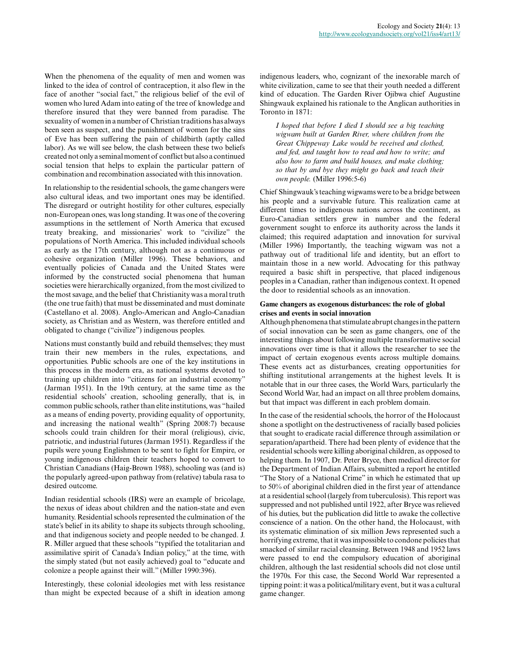When the phenomena of the equality of men and women was linked to the idea of control of contraception, it also flew in the face of another "social fact," the religious belief of the evil of women who lured Adam into eating of the tree of knowledge and therefore insured that they were banned from paradise. The sexuality of women in a number of Christian traditions has always been seen as suspect, and the punishment of women for the sins of Eve has been suffering the pain of childbirth (aptly called labor). As we will see below, the clash between these two beliefs created not only a seminal moment of conflict but also a continued social tension that helps to explain the particular pattern of combination and recombination associated with this innovation.

In relationship to the residential schools, the game changers were also cultural ideas, and two important ones may be identified. The disregard or outright hostility for other cultures, especially non-European ones, was long standing. It was one of the covering assumptions in the settlement of North America that excused treaty breaking, and missionaries' work to "civilize" the populations of North America. This included individual schools as early as the 17th century, although not as a continuous or cohesive organization (Miller 1996). These behaviors, and eventually policies of Canada and the United States were informed by the constructed social phenomena that human societies were hierarchically organized, from the most civilized to the most savage, and the belief that Christianity was a moral truth (the one true faith) that must be disseminated and must dominate (Castellano et al. 2008). Anglo-American and Anglo-Canadian society, as Christian and as Western, was therefore entitled and obligated to change ("civilize") indigenous peoples.

Nations must constantly build and rebuild themselves; they must train their new members in the rules, expectations, and opportunities. Public schools are one of the key institutions in this process in the modern era, as national systems devoted to training up children into "citizens for an industrial economy" (Jarman 1951). In the 19th century, at the same time as the residential schools' creation, schooling generally, that is, in common public schools, rather than elite institutions, was "hailed as a means of ending poverty, providing equality of opportunity, and increasing the national wealth" (Spring 2008:7) because schools could train children for their moral (religious), civic, patriotic, and industrial futures (Jarman 1951). Regardless if the pupils were young Englishmen to be sent to fight for Empire, or young indigenous children their teachers hoped to convert to Christian Canadians (Haig-Brown 1988), schooling was (and is) the popularly agreed-upon pathway from (relative) tabula rasa to desired outcome.

Indian residential schools (IRS) were an example of bricolage, the nexus of ideas about children and the nation-state and even humanity. Residential schools represented the culmination of the state's belief in its ability to shape its subjects through schooling, and that indigenous society and people needed to be changed. J. R. Miller argued that these schools "typified the totalitarian and assimilative spirit of Canada's Indian policy," at the time, with the simply stated (but not easily achieved) goal to "educate and colonize a people against their will." (Miller 1990:396).

Interestingly, these colonial ideologies met with less resistance than might be expected because of a shift in ideation among indigenous leaders, who, cognizant of the inexorable march of white civilization, came to see that their youth needed a different kind of education. The Garden River Ojibwa chief Augustine Shingwauk explained his rationale to the Anglican authorities in Toronto in 1871:

*I hoped that before I died I should see a big teaching wigwam built at Garden River, where children from the Great Chippeway Lake would be received and clothed, and fed, and taught how to read and how to write; and also how to farm and build houses, and make clothing; so that by and bye they might go back and teach their own people.* (Miller 1996:5-6)

Chief Shingwauk's teaching wigwams were to be a bridge between his people and a survivable future. This realization came at different times to indigenous nations across the continent, as Euro-Canadian settlers grew in number and the federal government sought to enforce its authority across the lands it claimed; this required adaptation and innovation for survival (Miller 1996) Importantly, the teaching wigwam was not a pathway out of traditional life and identity, but an effort to maintain those in a new world. Advocating for this pathway required a basic shift in perspective, that placed indigenous peoples in a Canadian, rather than indigenous context. It opened the door to residential schools as an innovation.

## **Game changers as exogenous disturbances: the role of global crises and events in social innovation**

Although phenomena that stimulate abrupt changes in the pattern of social innovation can be seen as game changers, one of the interesting things about following multiple transformative social innovations over time is that it allows the researcher to see the impact of certain exogenous events across multiple domains. These events act as disturbances, creating opportunities for shifting institutional arrangements at the highest levels. It is notable that in our three cases, the World Wars, particularly the Second World War, had an impact on all three problem domains, but that impact was different in each problem domain.

In the case of the residential schools, the horror of the Holocaust shone a spotlight on the destructiveness of racially based policies that sought to eradicate racial difference through assimilation or separation/apartheid. There had been plenty of evidence that the residential schools were killing aboriginal children, as opposed to helping them. In 1907, Dr. Peter Bryce, then medical director for the Department of Indian Affairs, submitted a report he entitled "The Story of a National Crime" in which he estimated that up to 50% of aboriginal children died in the first year of attendance at a residential school (largely from tuberculosis). This report was suppressed and not published until 1922, after Bryce was relieved of his duties, but the publication did little to awake the collective conscience of a nation. On the other hand, the Holocaust, with its systematic elimination of six million Jews represented such a horrifying extreme, that it was impossible to condone policies that smacked of similar racial cleansing. Between 1948 and 1952 laws were passed to end the compulsory education of aboriginal children, although the last residential schools did not close until the 1970s. For this case, the Second World War represented a tipping point: it was a political/military event, but it was a cultural game changer.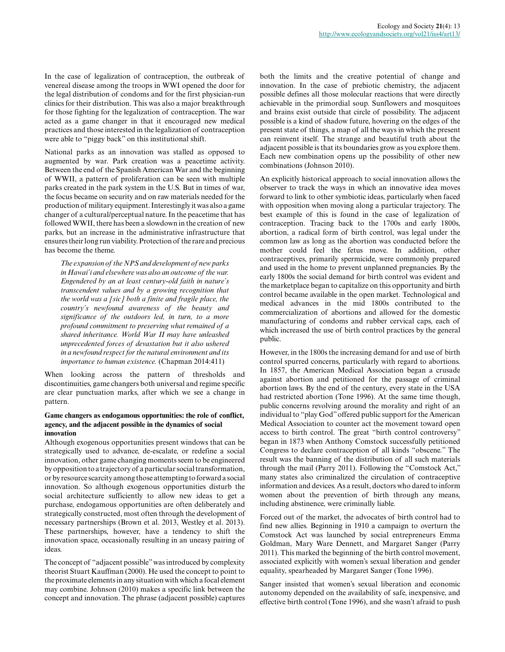In the case of legalization of contraception, the outbreak of venereal disease among the troops in WWI opened the door for the legal distribution of condoms and for the first physician-run clinics for their distribution. This was also a major breakthrough for those fighting for the legalization of contraception. The war acted as a game changer in that it encouraged new medical practices and those interested in the legalization of contraception were able to "piggy back" on this institutional shift.

National parks as an innovation was stalled as opposed to augmented by war. Park creation was a peacetime activity. Between the end of the Spanish American War and the beginning of WWII, a pattern of proliferation can be seen with multiple parks created in the park system in the U.S. But in times of war, the focus became on security and on raw materials needed for the production of military equipment. Interestingly it was also a game changer of a cultural/perceptual nature. In the peacetime that has followed WWII, there has been a slowdown in the creation of new parks, but an increase in the administrative infrastructure that ensures their long run viability. Protection of the rare and precious has become the theme.

*The expansion of the NPS and development of new parks in Hawai'i and elsewhere was also an outcome of the war. Engendered by an at least century-old faith in nature's transcendent values and by a growing recognition that the world was a [sic] both a finite and fragile place, the country's newfound awareness of the beauty and significance of the outdoors led, in turn, to a more profound commitment to preserving what remained of a shared inheritance. World War II may have unleashed unprecedented forces of devastation but it also ushered in a newfound respect for the natural environment and its importance to human existence.* (Chapman 2014:411)

When looking across the pattern of thresholds and discontinuities, game changers both universal and regime specific are clear punctuation marks, after which we see a change in pattern.

#### **Game changers as endogamous opportunities: the role of conflict, agency, and the adjacent possible in the dynamics of social innovation**

Although exogenous opportunities present windows that can be strategically used to advance, de-escalate, or redefine a social innovation, other game changing moments seem to be engineered by opposition to a trajectory of a particular social transformation, or by resource scarcity among those attempting to forward a social innovation. So although exogenous opportunities disturb the social architecture sufficiently to allow new ideas to get a purchase, endogamous opportunities are often deliberately and strategically constructed, most often through the development of necessary partnerships (Brown et al. 2013, Westley et al. 2013). These partnerships, however, have a tendency to shift the innovation space, occasionally resulting in an uneasy pairing of ideas.

The concept of "adjacent possible" was introduced by complexity theorist Stuart Kauffman (2000). He used the concept to point to the proximate elements in any situation with which a focal element may combine. Johnson (2010) makes a specific link between the concept and innovation. The phrase (adjacent possible) captures

both the limits and the creative potential of change and innovation. In the case of prebiotic chemistry, the adjacent possible defines all those molecular reactions that were directly achievable in the primordial soup. Sunflowers and mosquitoes and brains exist outside that circle of possibility. The adjacent possible is a kind of shadow future, hovering on the edges of the present state of things, a map of all the ways in which the present can reinvent itself. The strange and beautiful truth about the adjacent possible is that its boundaries grow as you explore them. Each new combination opens up the possibility of other new combinations (Johnson 2010).

An explicitly historical approach to social innovation allows the observer to track the ways in which an innovative idea moves forward to link to other symbiotic ideas, particularly when faced with opposition when moving along a particular trajectory. The best example of this is found in the case of legalization of contraception. Tracing back to the 1700s and early 1800s, abortion, a radical form of birth control, was legal under the common law as long as the abortion was conducted before the mother could feel the fetus move. In addition, other contraceptives, primarily spermicide, were commonly prepared and used in the home to prevent unplanned pregnancies. By the early 1800s the social demand for birth control was evident and the marketplace began to capitalize on this opportunity and birth control became available in the open market. Technological and medical advances in the mid 1800s contributed to the commercialization of abortions and allowed for the domestic manufacturing of condoms and rubber cervical caps, each of which increased the use of birth control practices by the general public.

However, in the 1800s the increasing demand for and use of birth control spurred concerns, particularly with regard to abortions. In 1857, the American Medical Association began a crusade against abortion and petitioned for the passage of criminal abortion laws. By the end of the century, every state in the USA had restricted abortion (Tone 1996). At the same time though, public concerns revolving around the morality and right of an individual to "play God" offered public support for the American Medical Association to counter act the movement toward open access to birth control. The great "birth control controversy" began in 1873 when Anthony Comstock successfully petitioned Congress to declare contraception of all kinds "obscene." The result was the banning of the distribution of all such materials through the mail (Parry 2011). Following the "Comstock Act," many states also criminalized the circulation of contraceptive information and devices. As a result, doctors who dared to inform women about the prevention of birth through any means, including abstinence, were criminally liable.

Forced out of the market, the advocates of birth control had to find new allies. Beginning in 1910 a campaign to overturn the Comstock Act was launched by social entrepreneurs Emma Goldman, Mary Ware Dennett, and Margaret Sanger (Parry 2011). This marked the beginning of the birth control movement, associated explicitly with women's sexual liberation and gender equality, spearheaded by Margaret Sanger (Tone 1996).

Sanger insisted that women's sexual liberation and economic autonomy depended on the availability of safe, inexpensive, and effective birth control (Tone 1996), and she wasn't afraid to push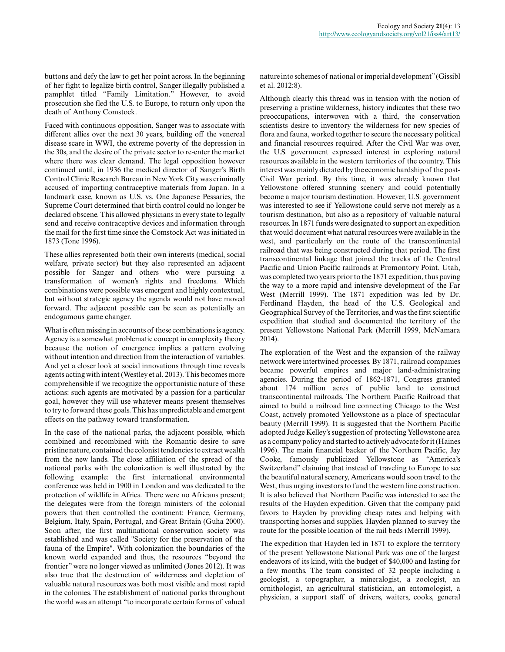buttons and defy the law to get her point across. In the beginning of her fight to legalize birth control, Sanger illegally published a pamphlet titled "Family Limitation." However, to avoid prosecution she fled the U.S. to Europe, to return only upon the death of Anthony Comstock.

Faced with continuous opposition, Sanger was to associate with different allies over the next 30 years, building off the venereal disease scare in WWI, the extreme poverty of the depression in the 30s, and the desire of the private sector to re-enter the market where there was clear demand. The legal opposition however continued until, in 1936 the medical director of Sanger's Birth Control Clinic Research Bureau in New York City was criminally accused of importing contraceptive materials from Japan. In a landmark case, known as U.S. vs. One Japanese Pessaries, the Supreme Court determined that birth control could no longer be declared obscene. This allowed physicians in every state to legally send and receive contraceptive devices and information through the mail for the first time since the Comstock Act was initiated in 1873 (Tone 1996).

These allies represented both their own interests (medical, social welfare, private sector) but they also represented an adjacent possible for Sanger and others who were pursuing a transformation of women's rights and freedoms. Which combinations were possible was emergent and highly contextual, but without strategic agency the agenda would not have moved forward. The adjacent possible can be seen as potentially an endogamous game changer.

What is often missing in accounts of these combinations is agency. Agency is a somewhat problematic concept in complexity theory because the notion of emergence implies a pattern evolving without intention and direction from the interaction of variables. And yet a closer look at social innovations through time reveals agents acting with intent (Westley et al. 2013). This becomes more comprehensible if we recognize the opportunistic nature of these actions: such agents are motivated by a passion for a particular goal, however they will use whatever means present themselves to try to forward these goals. This has unpredictable and emergent effects on the pathway toward transformation.

In the case of the national parks, the adjacent possible, which combined and recombined with the Romantic desire to save pristine nature, contained the colonist tendencies to extract wealth from the new lands. The close affiliation of the spread of the national parks with the colonization is well illustrated by the following example: the first international environmental conference was held in 1900 in London and was dedicated to the protection of wildlife in Africa. There were no Africans present; the delegates were from the foreign ministers of the colonial powers that then controlled the continent: France, Germany, Belgium, Italy, Spain, Portugal, and Great Britain (Guha 2000). Soon after, the first multinational conservation society was established and was called "Society for the preservation of the fauna of the Empire". With colonization the boundaries of the known world expanded and thus, the resources "beyond the frontier" were no longer viewed as unlimited (Jones 2012). It was also true that the destruction of wilderness and depletion of valuable natural resources was both most visible and most rapid in the colonies. The establishment of national parks throughout the world was an attempt "to incorporate certain forms of valued

nature into schemes of national or imperial development" (Gissibl et al. 2012:8).

Although clearly this thread was in tension with the notion of preserving a pristine wilderness, history indicates that these two preoccupations, interwoven with a third, the conservation scientists desire to inventory the wilderness for new species of flora and fauna, worked together to secure the necessary political and financial resources required. After the Civil War was over, the U.S. government expressed interest in exploring natural resources available in the western territories of the country. This interest was mainly dictated by the economic hardship of the post-Civil War period. By this time, it was already known that Yellowstone offered stunning scenery and could potentially become a major tourism destination. However, U.S. government was interested to see if Yellowstone could serve not merely as a tourism destination, but also as a repository of valuable natural resources. In 1871 funds were designated to support an expedition that would document what natural resources were available in the west, and particularly on the route of the transcontinental railroad that was being constructed during that period. The first transcontinental linkage that joined the tracks of the Central Pacific and Union Pacific railroads at Promontory Point, Utah, was completed two years prior to the 1871 expedition, thus paving the way to a more rapid and intensive development of the Far West (Merrill 1999). The 1871 expedition was led by Dr. Ferdinand Hayden, the head of the U.S. Geological and Geographical Survey of the Territories, and was the first scientific expedition that studied and documented the territory of the present Yellowstone National Park (Merrill 1999, McNamara 2014).

The exploration of the West and the expansion of the railway network were intertwined processes. By 1871, railroad companies became powerful empires and major land-administrating agencies. During the period of 1862-1871, Congress granted about 174 million acres of public land to construct transcontinental railroads. The Northern Pacific Railroad that aimed to build a railroad line connecting Chicago to the West Coast, actively promoted Yellowstone as a place of spectacular beauty (Merrill 1999). It is suggested that the Northern Pacific adopted Judge Kelley's suggestion of protecting Yellowstone area as a company policy and started to actively advocate for it (Haines 1996). The main financial backer of the Northern Pacific, Jay Cooke, famously publicized Yellowstone as "America's Switzerland" claiming that instead of traveling to Europe to see the beautiful natural scenery, Americans would soon travel to the West, thus urging investors to fund the western line construction. It is also believed that Northern Pacific was interested to see the results of the Hayden expedition. Given that the company paid favors to Hayden by providing cheap rates and helping with transporting horses and supplies, Hayden planned to survey the route for the possible location of the rail beds (Merrill 1999).

The expedition that Hayden led in 1871 to explore the territory of the present Yellowstone National Park was one of the largest endeavors of its kind, with the budget of \$40,000 and lasting for a few months. The team consisted of 32 people including a geologist, a topographer, a mineralogist, a zoologist, an ornithologist, an agricultural statistician, an entomologist, a physician, a support staff of drivers, waiters, cooks, general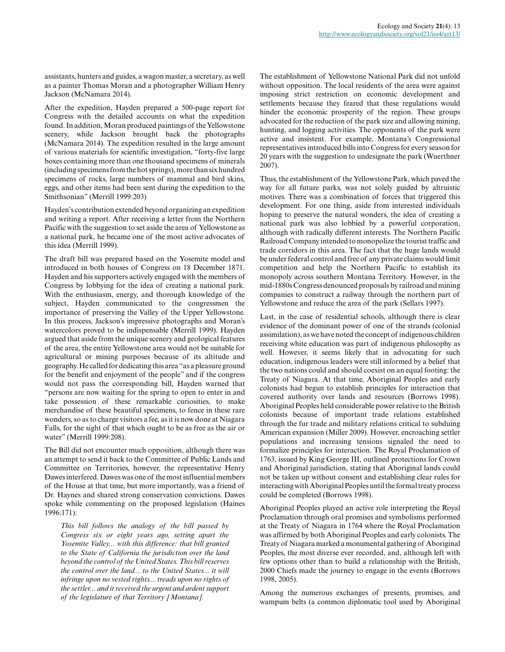assistants, hunters and guides, a wagon master, a secretary, as well as a painter Thomas Moran and a photographer William Henry Jackson (McNamara 2014).

After the expedition, Hayden prepared a 500-page report for Congress with the detailed accounts on what the expedition found. In addition, Moran produced paintings of the Yellowstone scenery, while Jackson brought back the photographs (McNamara 2014). The expedition resulted in the large amount of various materials for scientific investigation, "forty-five large boxes containing more than one thousand specimens of minerals (including specimens from the hot springs), more than six hundred specimens of rocks, large numbers of mammal and bird skins, eggs, and other items had been sent during the expedition to the Smithsonian" (Merrill 1999:203)

Hayden's contribution extended beyond organizing an expedition and writing a report. After receiving a letter from the Northern Pacific with the suggestion to set aside the area of Yellowstone as a national park, he became one of the most active advocates of this idea (Merrill 1999).

The draft bill was prepared based on the Yosemite model and introduced in both houses of Congress on 18 December 1871. Hayden and his supporters actively engaged with the members of Congress by lobbying for the idea of creating a national park. With the enthusiasm, energy, and thorough knowledge of the subject, Hayden communicated to the congressmen the importance of preserving the Valley of the Upper Yellowstone. In this process, Jackson's impressive photographs and Moran's watercolors proved to be indispensable (Merrill 1999). Hayden argued that aside from the unique scenery and geological features of the area, the entire Yellowstone area would not be suitable for agricultural or mining purposes because of its altitude and geography. He called for dedicating this area "as a pleasure ground for the benefit and enjoyment of the people" and if the congress would not pass the corresponding bill, Hayden warned that "persons are now waiting for the spring to open to enter in and take possession of these remarkable curiosities, to make merchandise of these beautiful specimens, to fence in these rare wonders, so as to charge visitors a fee, as it is now done at Niagara Falls, for the sight of that which ought to be as free as the air or water" (Merrill 1999:208).

The Bill did not encounter much opposition, although there was an attempt to send it back to the Committee of Public Lands and Committee on Territories, however, the representative Henry Dawes interfered. Dawes was one of the most influential members of the House at that time, but more importantly, was a friend of Dr. Haynes and shared strong conservation convictions. Dawes spoke while commenting on the proposed legislation (Haines 1996:171):

*This bill follows the analogy of the bill passed by Congress six or eight years ago, setting apart the Yosemite Valley... with this difference: that bill granted to the State of California the jurisdiction over the land beyond the control of the United States. This bill reserves the control over the land... to the United States... it will infringe upon no vested rights... treads upon no rights of the settler... and it received the urgent and ardent support of the legislature of that Territory [Montana].*

The establishment of Yellowstone National Park did not unfold without opposition. The local residents of the area were against imposing strict restriction on economic development and settlements because they feared that these regulations would hinder the economic prosperity of the region. These groups advocated for the reduction of the park size and allowing mining, hunting, and logging activities. The opponents of the park were active and insistent. For example, Montana's Congressional representatives introduced bills into Congress for every season for 20 years with the suggestion to undesignate the park (Wuerthner 2007).

Thus, the establishment of the Yellowstone Park, which paved the way for all future parks, was not solely guided by altruistic motives. There was a combination of forces that triggered this development. For one thing, aside from interested individuals hoping to preserve the natural wonders, the idea of creating a national park was also lobbied by a powerful corporation, although with radically different interests. The Northern Pacific Railroad Company intended to monopolize the tourist traffic and trade corridors in this area. The fact that the huge lands would be under federal control and free of any private claims would limit competition and help the Northern Pacific to establish its monopoly across southern Montana Territory. However, in the mid-1880s Congress denounced proposals by railroad and mining companies to construct a railway through the northern part of Yellowstone and reduce the area of the park (Sellars 1997).

Last, in the case of residential schools, although there is clear evidence of the dominant power of one of the strands (colonial assimilation), as we have noted the concept of indigenous children receiving white education was part of indigenous philosophy as well. However, it seems likely that in advocating for such education, indigenous leaders were still informed by a belief that the two nations could and should coexist on an equal footing: the Treaty of Niagara. At that time, Aboriginal Peoples and early colonists had begun to establish principles for interaction that covered authority over lands and resources (Borrows 1998). Aboriginal Peoples held considerable power relative to the British colonists because of important trade relations established through the fur trade and military relations critical to subduing American expansion (Miller 2009). However, encroaching settler populations and increasing tensions signaled the need to formalize principles for interaction. The Royal Proclamation of 1763, issued by King George III, outlined protections for Crown and Aboriginal jurisdiction, stating that Aboriginal lands could not be taken up without consent and establishing clear rules for interacting with Aboriginal Peoples until the formal treaty process could be completed (Borrows 1998).

Aboriginal Peoples played an active role interpreting the Royal Proclamation through oral promises and symbolisms performed at the Treaty of Niagara in 1764 where the Royal Proclamation was affirmed by both Aboriginal Peoples and early colonists. The Treaty of Niagara marked a monumental gathering of Aboriginal Peoples, the most diverse ever recorded, and, although left with few options other than to build a relationship with the British, 2000 Chiefs made the journey to engage in the events (Borrows 1998, 2005).

Among the numerous exchanges of presents, promises, and wampum belts (a common diplomatic tool used by Aboriginal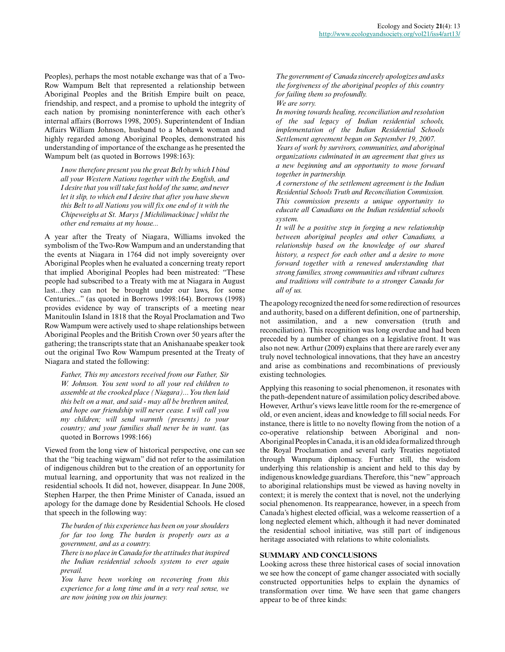Peoples), perhaps the most notable exchange was that of a Two-Row Wampum Belt that represented a relationship between Aboriginal Peoples and the British Empire built on peace, friendship, and respect, and a promise to uphold the integrity of each nation by promising noninterference with each other's internal affairs (Borrows 1998, 2005). Superintendent of Indian Affairs William Johnson, husband to a Mohawk woman and highly regarded among Aboriginal Peoples, demonstrated his understanding of importance of the exchange as he presented the Wampum belt (as quoted in Borrows 1998:163):

*I now therefore present you the great Belt by which I bind all your Western Nations together with the English, and I desire that you will take fast hold of the same, and never let it slip, to which end I desire that after you have shewn this Belt to all Nations you will fix one end of it with the Chipeweighs at St. Marys [Michilimackinac] whilst the other end remains at my house...*

A year after the Treaty of Niagara, Williams invoked the symbolism of the Two-Row Wampum and an understanding that the events at Niagara in 1764 did not imply sovereignty over Aboriginal Peoples when he evaluated a concerning treaty report that implied Aboriginal Peoples had been mistreated: "These people had subscribed to a Treaty with me at Niagara in August last...they can not be brought under our laws, for some Centuries..." (as quoted in Borrows 1998:164). Borrows (1998) provides evidence by way of transcripts of a meeting near Manitoulin Island in 1818 that the Royal Proclamation and Two Row Wampum were actively used to shape relationships between Aboriginal Peoples and the British Crown over 50 years after the gathering; the transcripts state that an Anishanaabe speaker took out the original Two Row Wampum presented at the Treaty of Niagara and stated the following:

*Father, This my ancestors received from our Father, Sir W. Johnson. You sent word to all your red children to assemble at the crooked place (Niagara)...You then laid this belt on a mat, and said - may all be brethren united, and hope our friendship will never cease. I will call you my children; will send warmth (presents) to your country; and your families shall never be in want.* (as quoted in Borrows 1998:166)

Viewed from the long view of historical perspective, one can see that the "big teaching wigwam" did not refer to the assimilation of indigenous children but to the creation of an opportunity for mutual learning, and opportunity that was not realized in the residential schools. It did not, however, disappear. In June 2008, Stephen Harper, the then Prime Minister of Canada, issued an apology for the damage done by Residential Schools. He closed that speech in the following way:

*The burden of this experience has been on your shoulders for far too long. The burden is properly ours as a government, and as a country.*

*There is no place in Canada for the attitudes that inspired the Indian residential schools system to ever again prevail.*

*You have been working on recovering from this experience for a long time and in a very real sense, we are now joining you on this journey.*

*The government of Canada sincerely apologizes and asks the forgiveness of the aboriginal peoples of this country for failing them so profoundly.*

*We are sorry.*

*In moving towards healing, reconciliation and resolution of the sad legacy of Indian residential schools, implementation of the Indian Residential Schools Settlement agreement began on September 19, 2007.*

*Years of work by survivors, communities, and aboriginal organizations culminated in an agreement that gives us a new beginning and an opportunity to move forward together in partnership.*

*A cornerstone of the settlement agreement is the Indian Residential Schools Truth and Reconciliation Commission. This commission presents a unique opportunity to educate all Canadians on the Indian residential schools system.*

*It will be a positive step in forging a new relationship between aboriginal peoples and other Canadians, a relationship based on the knowledge of our shared history, a respect for each other and a desire to move forward together with a renewed understanding that strong families, strong communities and vibrant cultures and traditions will contribute to a stronger Canada for all of us.*

The apology recognized the need for some redirection of resources and authority, based on a different definition, one of partnership, not assimilation, and a new conversation (truth and reconciliation). This recognition was long overdue and had been preceded by a number of changes on a legislative front. It was also not new. Arthur (2009) explains that there are rarely ever any truly novel technological innovations, that they have an ancestry and arise as combinations and recombinations of previously existing technologies.

Applying this reasoning to social phenomenon, it resonates with the path-dependent nature of assimilation policy described above. However, Arthur's views leave little room for the re-emergence of old, or even ancient, ideas and knowledge to fill social needs. For instance, there is little to no novelty flowing from the notion of a co-operative relationship between Aboriginal and non-Aboriginal Peoples in Canada, it is an old idea formalized through the Royal Proclamation and several early Treaties negotiated through Wampum diplomacy. Further still, the wisdom underlying this relationship is ancient and held to this day by indigenous knowledge guardians. Therefore, this "new" approach to aboriginal relationships must be viewed as having novelty in context; it is merely the context that is novel, not the underlying social phenomenon. Its reappearance, however, in a speech from Canada's highest elected official, was a welcome reassertion of a long neglected element which, although it had never dominated the residential school initiative, was still part of indigenous heritage associated with relations to white colonialists.

# **SUMMARY AND CONCLUSIONS**

Looking across these three historical cases of social innovation we see how the concept of game changer associated with socially constructed opportunities helps to explain the dynamics of transformation over time. We have seen that game changers appear to be of three kinds: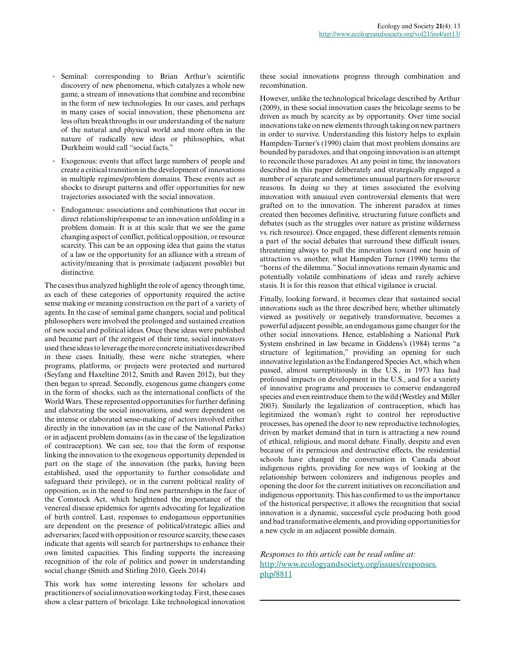- **.** Seminal: corresponding to Brian Arthur's scientific discovery of new phenomena, which catalyzes a whole new game, a stream of innovations that combine and recombine in the form of new technologies. In our cases, and perhaps in many cases of social innovation, these phenomena are less often breakthroughs in our understanding of the nature of the natural and physical world and more often in the nature of radically new ideas or philosophies, what Durkheim would call "social facts."
- **.** Exogenous: events that affect large numbers of people and create a critical transition in the development of innovations in multiple regimes/problem domains. These events act as shocks to disrupt patterns and offer opportunities for new trajectories associated with the social innovation.
- **.** Endogamous: associations and combinations that occur in direct relationship/response to an innovation unfolding in a problem domain. It is at this scale that we see the game changing aspect of conflict, political opposition, or resource scarcity. This can be an opposing idea that gains the status of a law or the opportunity for an alliance with a stream of activity/meaning that is proximate (adjacent possible) but distinctive.

The cases thus analyzed highlight the role of agency through time, as each of these categories of opportunity required the active sense making or meaning construction on the part of a variety of agents. In the case of seminal game changers, social and political philosophers were involved the prolonged and sustained creation of new social and political ideas. Once these ideas were published and became part of the zeitgeist of their time, social innovators used these ideas to leverage the more concrete initiatives described in these cases. Initially, these were niche strategies, where programs, platforms, or projects were protected and nurtured (Seyfang and Haxeltine 2012, Smith and Raven 2012), but they then began to spread. Secondly, exogenous game changers come in the form of shocks, such as the international conflicts of the World Wars. These represented opportunities for further defining and elaborating the social innovations, and were dependent on the intense or elaborated sense-making of actors involved either directly in the innovation (as in the case of the National Parks) or in adjacent problem domains (as in the case of the legalization of contraception). We can see, too that the form of response linking the innovation to the exogenous opportunity depended in part on the stage of the innovation (the parks, having been established, used the opportunity to further consolidate and safeguard their privilege), or in the current political reality of opposition, as in the need to find new partnerships in the face of the Comstock Act, which heightened the importance of the venereal disease epidemics for agents advocating for legalization of birth control. Last, responses to endogamous opportunities are dependent on the presence of political/strategic allies and adversaries; faced with opposition or resource scarcity, these cases indicate that agents will search for partnerships to enhance their own limited capacities. This finding supports the increasing recognition of the role of politics and power in understanding social change (Smith and Stirling 2010, Geels 2014)

This work has some interesting lessons for scholars and practitioners of social innovation working today. First, these cases show a clear pattern of bricolage. Like technological innovation these social innovations progress through combination and recombination.

However, unlike the technological bricolage described by Arthur (2009), in these social innovation cases the bricolage seems to be driven as much by scarcity as by opportunity. Over time social innovations take on new elements through taking on new partners in order to survive. Understanding this history helps to explain Hampden-Turner's (1990) claim that most problem domains are bounded by paradoxes, and that ongoing innovation is an attempt to reconcile those paradoxes. At any point in time, the innovators described in this paper deliberately and strategically engaged a number of separate and sometimes unusual partners for resource reasons. In doing so they at times associated the evolving innovation with unusual even controversial elements that were grafted on to the innovation. The inherent paradox at times created then becomes definitive, structuring future conflicts and debates (such as the struggles over nature as pristine wilderness vs. rich resource). Once engaged, these different elements remain a part of the social debates that surround these difficult issues, threatening always to pull the innovation toward one basin of attraction vs. another, what Hampden Turner (1990) terms the "horns of the dilemma." Social innovations remain dynamic and potentially volatile combinations of ideas and rarely achieve stasis. It is for this reason that ethical vigilance is crucial.

Finally, looking forward, it becomes clear that sustained social innovations such as the three described here, whether ultimately viewed as positively or negatively transformative, becomes a powerful adjacent possible, an endogamous game changer for the other social innovations. Hence, establishing a National Park System enshrined in law became in Giddens's (1984) terms "a structure of legitimation," providing an opening for such innovative legislation as the Endangered Species Act, which when passed, almost surreptitiously in the U.S., in 1973 has had profound impacts on development in the U.S., and for a variety of innovative programs and processes to conserve endangered species and even reintroduce them to the wild (Westley and Miller 2003). Similarly the legalization of contraception, which has legitimized the woman's right to control her reproductive processes, has opened the door to new reproductive technologies, driven by market demand that in turn is attracting a new round of ethical, religious, and moral debate. Finally, despite and even because of its pernicious and destructive effects, the residential schools have changed the conversation in Canada about indigenous rights, providing for new ways of looking at the relationship between colonizers and indigenous peoples and opening the door for the current initiatives on reconciliation and indigenous opportunity. This has confirmed to us the importance of the historical perspective; it allows the recognition that social innovation is a dynamic, successful cycle producing both good and bad transformative elements, and providing opportunities for a new cycle in an adjacent possible domain.

*Responses to this article can be read online at:* [http://www.ecologyandsociety.org/issues/responses.](http://www.ecologyandsociety.org/issues/responses.php/8811) [php/8811](http://www.ecologyandsociety.org/issues/responses.php/8811)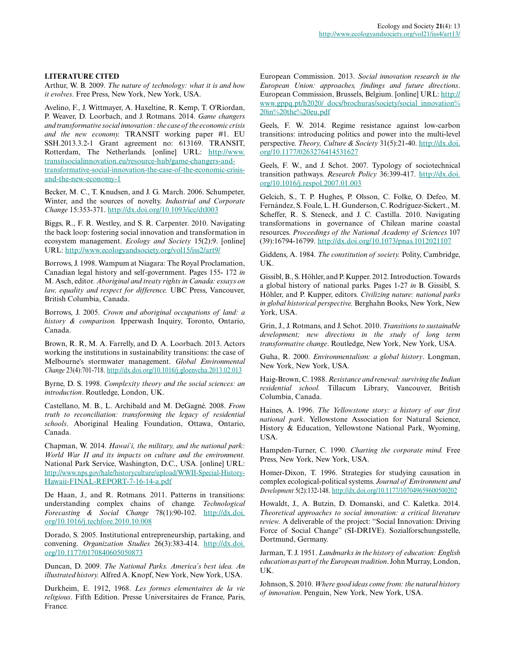### **LITERATURE CITED**

Arthur, W. B. 2009. *The nature of technology: what it is and how it evolves*. Free Press, New York, New York, USA.

Avelino, F., J. Wittmayer, A. Haxeltine, R. Kemp, T. O'Riordan, P. Weaver, D. Loorbach, and J. Rotmans. 2014. *Game changers and transformative social innovation : the case of the economic crisis and the new economy.* TRANSIT working paper #1. EU SSH.2013.3.2-1 Grant agreement no: 613169. TRANSIT, Rotterdam, The Netherlands. [online] URL: [http://www.](http://www.transitsocialinnovation.eu/resource-hub/game-changers-and-transformative-social-innovation-the-case-of-the-economic-crisis-and-the-new-economy-1) [transitsocialinnovation.eu/resource-hub/game-changers-and](http://www.transitsocialinnovation.eu/resource-hub/game-changers-and-transformative-social-innovation-the-case-of-the-economic-crisis-and-the-new-economy-1)[transformative-social-innovation-the-case-of-the-economic-crisis](http://www.transitsocialinnovation.eu/resource-hub/game-changers-and-transformative-social-innovation-the-case-of-the-economic-crisis-and-the-new-economy-1)[and-the-new-economy-1](http://www.transitsocialinnovation.eu/resource-hub/game-changers-and-transformative-social-innovation-the-case-of-the-economic-crisis-and-the-new-economy-1) 

Becker, M. C., T. Knudsen, and J. G. March. 2006. Schumpeter, Winter, and the sources of novelty. *Industrial and Corporate Change* 15:353-371. [http://dx.doi.org/10.1093/icc/dtl003](http://dx.doi.org/10.1093%2Ficc%2Fdtl003) 

Biggs, R., F. R. Westley, and S. R. Carpenter. 2010. Navigating the back loop: fostering social innovation and transformation in ecosystem management. *Ecology and Society* 15(2):9. [online] URL:<http://www.ecologyandsociety.org/vol15/iss2/art9/>

Borrows, J. 1998. Wampum at Niagara: The Royal Proclamation, Canadian legal history and self-government. Pages 155- 172 *in* M. Asch, editor. *Aboriginal and treaty rights in Canada: essays on law, equality and respect for difference.* UBC Press, Vancouver, British Columbia, Canada.

Borrows, J. 2005. *Crown and aboriginal occupations of land: a history & comparison.* Ipperwash Inquiry, Toronto, Ontario, Canada.

Brown, R. R, M. A. Farrelly, and D. A. Loorbach. 2013. Actors working the institutions in sustainability transitions: the case of Melbourne's stormwater management. *Global Environmental Change* 23(4):701-718. [http://dx.doi.org/10.1016/j.gloenvcha.2013.02.013](http://dx.doi.org/10.1016%2Fj.gloenvcha.2013.02.013)

Byrne, D. S. 1998. *Complexity theory and the social sciences: an introduction*. Routledge, London, UK.

Castellano, M. B., L. Archibald and M. DeGagné. 2008. *From truth to reconciliation: transforming the legacy of residential schools*. Aboriginal Healing Foundation, Ottawa, Ontario, Canada.

Chapman, W. 2014. *Hawai'i, the military, and the national park: World War II and its impacts on culture and the environment.* National Park Service, Washington, D.C., USA. [online] URL: [http://www.nps.gov/hale/historyculture/upload/WWII-Special-History-](http://www.nps.gov/hale/historyculture/upload/WWII-Special-History-Hawaii-FINAL-REPORT-7-16-14-a.pdf)[Hawaii-FINAL-REPORT-7-16-14-a.pdf](http://www.nps.gov/hale/historyculture/upload/WWII-Special-History-Hawaii-FINAL-REPORT-7-16-14-a.pdf)

De Haan, J., and R. Rotmans. 2011. Patterns in transitions: understanding complex chains of change. *Technological Forecasting & Social Change* 78(1):90-102. [http://dx.doi.](http://dx.doi.org/10.1016%2Fj.techfore.2010.10.008) [org/10.1016/j.techfore.2010.10.008](http://dx.doi.org/10.1016%2Fj.techfore.2010.10.008)

Dorado, S. 2005. Institutional entrepreneurship, partaking, and convening. *Organization Studies* 26(3):383-414. [http://dx.doi.](http://dx.doi.org/10.1177%2F0170840605050873) [org/10.1177/0170840605050873](http://dx.doi.org/10.1177%2F0170840605050873)

Duncan, D. 2009. *The National Parks. America's best idea. An illustrated history.* Alfred A. Knopf, New York, New York, USA.

Durkheim, E. 1912, 1968. *Les formes elementaires de la vie religious*. Fifth Edition. Presse Universitaires de France, Paris, France.

European Commission. 2013. *Social innovation research in the European Union: approaches, findings and future directions*. European Commission, Brussels, Belgium. [online] URL: [http://](http://www.gppq.pt/h2020/_docs/brochuras/society/social_innovation%20in%20the%20eu.pdf) [www.gppq.pt/h2020/\\_docs/brochuras/society/social\\_innovation%](http://www.gppq.pt/h2020/_docs/brochuras/society/social_innovation%20in%20the%20eu.pdf) [20in%20the%20eu.pdf](http://www.gppq.pt/h2020/_docs/brochuras/society/social_innovation%20in%20the%20eu.pdf)

Geels, F. W. 2014. Regime resistance against low-carbon transitions: introducing politics and power into the multi-level perspective. *Theory, Culture & Society* 31(5):21-40. [http://dx.doi.](http://dx.doi.org/10.1177%2F0263276414531627) [org/10.1177/0263276414531627](http://dx.doi.org/10.1177%2F0263276414531627)

Geels, F. W., and J. Schot. 2007. Typology of sociotechnical transition pathways. *Research Policy* 36:399-417. [http://dx.doi.](http://dx.doi.org/10.1016%2Fj.respol.2007.01.003) [org/10.1016/j.respol.2007.01.003](http://dx.doi.org/10.1016%2Fj.respol.2007.01.003)

Gelcich, S., T. P. Hughes, P. Olsson, C. Folke, O. Defeo, M. Fernández, S. Foale, L. H. Gunderson, C. Rodríguez-Sickert., M. Scheffer, R. S. Steneck, and J. C. Castilla. 2010. Navigating transformations in governance of Chilean marine coastal resources. *Proceedings of the National Academy of Sciences* 107 (39):16794-16799. [http://dx.doi.org/10.1073/pnas.1012021107](http://dx.doi.org/10.1073%2Fpnas.1012021107)

Giddens, A. 1984. *The constitution of society.* Polity, Cambridge, UK.

Gissibl, B., S. Höhler, and P. Kupper. 2012. Introduction. Towards a global history of national parks. Pages 1-27 *in* B. Gissibl, S. Höhler, and P. Kupper, editors. *Civilizing nature: national parks in global historical perspective.* Berghahn Books, New York, New York, USA.

Grin, J., J. Rotmans, and J. Schot. 2010. *Transitions to sustainable development; new directions in the study of long term transformative change*. Routledge, New York, New York, USA.

Guha, R. 2000. *Environmentalism: a global history*. Longman, New York, New York, USA.

Haig-Brown, C. 1988. *Resistance and renewal: surviving the Indian residential school.* Tillacum Library, Vancouver, British Columbia, Canada.

Haines, A. 1996. *The Yellowstone story: a history of our first national park*. Yellowstone Association for Natural Science, History & Education, Yellowstone National Park, Wyoming, USA.

Hampden-Turner, C. 1990. *Charting the corporate mind.* Free Press, New York, New York, USA.

Homer-Dixon, T. 1996. Strategies for studying causation in complex ecological-political systems. *Journal of Environment and Development* 5(2):132-148. [http://dx.doi.org/10.1177/107049659600500202](http://dx.doi.org/10.1177%2F107049659600500202)

Howaldt, J., A. Butzin, D. Domanski, and C. Kaletka. 2014. *Theoretical approaches to social innovation: a critical literature review.* A deliverable of the project: "Social Innovation: Driving Force of Social Change" (SI-DRIVE). Sozialforschungsstelle, Dortmund, Germany.

Jarman, T. J. 1951. *Landmarks in the history of education: English education as part of the European tradition*. John Murray, London, UK.

Johnson, S. 2010. *Where good ideas come from: the natural history of innovation*. Penguin, New York, New York, USA.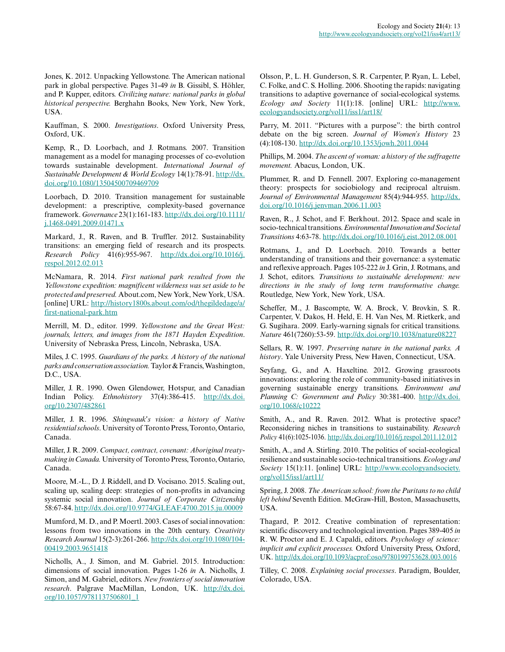Jones, K. 2012. Unpacking Yellowstone. The American national park in global perspective. Pages 31-49 *in* B. Gissibl, S. Höhler, and P. Kupper, editors. *Civilizing nature: national parks in global historical perspective.* Berghahn Books, New York, New York, **I**ISA.

Kauffman, S. 2000. *Investigations*. Oxford University Press, Oxford, UK.

Kemp, R., D. Loorbach, and J. Rotmans. 2007. Transition management as a model for managing processes of co-evolution towards sustainable development. *International Journal of Sustainable Development & World Ecology* 14(1):78-91. [http://dx.](http://dx.doi.org/10.1080/13504500709469709) [doi.org/10.1080/13504500709469709](http://dx.doi.org/10.1080/13504500709469709) 

Loorbach, D. 2010. Transition management for sustainable development: a prescriptive, complexity-based governance framework. *Governance* 23(1):161-183. [http://dx.doi.org/10.1111/](http://dx.doi.org/10.1111%2Fj.1468-0491.2009.01471.x) [j.1468-0491.2009.01471.x](http://dx.doi.org/10.1111%2Fj.1468-0491.2009.01471.x)

Markard, J., R. Raven, and B. Truffler. 2012. Sustainability transitions: an emerging field of research and its prospects. *Research Policy* 41(6):955-967. [http://dx.doi.org/10.1016/j.](http://dx.doi.org/10.1016%2Fj.respol.2012.02.013) [respol.2012.02.013](http://dx.doi.org/10.1016%2Fj.respol.2012.02.013) 

McNamara, R. 2014. *First national park resulted from the Yellowstone expedition: magnificent wilderness was set aside to be protected and preserved.* About.com, New York, New York, USA. [online] URL: http://history1800s.about.com/od/thegildedage/al [first-national-park.htm](http://history1800s.about.com/od/thegildedage/a/first-national-park.htm)

Merrill, M. D., editor. 1999. *Yellowstone and the Great West: journals, letters, and images from the 1871 Hayden Expedition*. University of Nebraska Press, Lincoln, Nebraska, USA.

Miles, J. C. 1995. *Guardians of the parks. A history of the national parks and conservation association.* Taylor & Francis, Washington, D.C., USA.

Miller, J. R. 1990. Owen Glendower, Hotspur, and Canadian Indian Policy. *Ethnohistory* 37(4):386-415. [http://dx.doi.](http://dx.doi.org/10.2307%2F482861) [org/10.2307/482861](http://dx.doi.org/10.2307%2F482861)

Miller, J. R. 1996. *Shingwauk*'*s vision: a history of Native residential schools*. University of Toronto Press, Toronto, Ontario, Canada.

Miller, J. R. 2009. *Compact, contract, covenant: Aboriginal treatymaking in Canada.* University of Toronto Press, Toronto, Ontario, Canada.

Moore, M.-L., D. J. Riddell, and D. Vocisano. 2015. Scaling out, scaling up, scaling deep: strategies of non-profits in advancing systemic social innovation. *Journal of Corporate Citizenship* 58:67-84. [http://dx.doi.org/10.9774/GLEAF.4700.2015.ju.00009](http://dx.doi.org/10.9774%2FGLEAF.4700.2015.ju.00009)

Mumford, M. D., and P. Moertl. 2003. Cases of social innovation: lessons from two innovations in the 20th century. *Creativity Research Journal* 15(2-3):261-266. [http://dx.doi.org/10.1080/104](http://dx.doi.org/10.1080%2F10400419.2003.9651418) [00419.2003.9651418](http://dx.doi.org/10.1080%2F10400419.2003.9651418) 

Nicholls, A., J. Simon, and M. Gabriel. 2015. Introduction: dimensions of social innovation. Pages 1-26 *in* A. Nicholls, J. Simon, and M. Gabriel, editors. *New frontiers of social innovation research*. Palgrave MacMillan, London, UK. [http://dx.doi.](http://dx.doi.org/10.1057%2F9781137506801_1) [org/10.1057/9781137506801\\_1](http://dx.doi.org/10.1057%2F9781137506801_1) 

Olsson, P., L. H. Gunderson, S. R. Carpenter, P. Ryan, L. Lebel, C. Folke, and C. S. Holling. 2006. Shooting the rapids: navigating transitions to adaptive governance of social-ecological systems. *Ecology and Society* 11(1):18. [online] URL: [http://www.](http://www.ecologyandsociety.org/vol11/iss1/art18/) [ecologyandsociety.org/vol11/iss1/art18/](http://www.ecologyandsociety.org/vol11/iss1/art18/)

Parry, M. 2011. "Pictures with a purpose": the birth control debate on the big screen. *Journal of Women's History* 23 (4):108-130. [http://dx.doi.org/10.1353/jowh.2011.0044](http://dx.doi.org/10.1353%2Fjowh.2011.0044)

Phillips, M. 2004. *The ascent of woman: a history of the suffragette movement.* Abacus, London, UK.

Plummer, R. and D. Fennell. 2007. Exploring co-management theory: prospects for sociobiology and reciprocal altruism. Journal of Environmental Management 85(4):944-955. [http://dx.](http://dx.doi.org/10.1016/j.jenvman.2006.11.003) [doi.org/10.1016/j.jenvman.2006.11.003](http://dx.doi.org/10.1016/j.jenvman.2006.11.003)

Raven, R., J. Schot, and F. Berkhout. 2012. Space and scale in socio-technical transitions. *Environmental Innovation and Societal Transitions* 4:63-78. [http://dx.doi.org/10.1016/j.eist.2012.08.001](http://dx.doi.org/10.1016%2Fj.eist.2012.08.001) 

Rotmans, J., and D. Loorbach. 2010. Towards a better understanding of transitions and their governance: a systematic and reflexive approach. Pages 105-222 *in* J. Grin, J. Rotmans, and J. Schot, editors. *Transitions to sustainable development: new directions in the study of long term transformative change.* Routledge, New York, New York, USA.

Scheffer, M., J. Bascompte, W. A. Brock, V. Brovkin, S. R. Carpenter, V. Dakos, H. Held, E. H. Van Nes, M. Rietkerk, and G. Sugihara. 2009. Early-warning signals for critical transitions. *Nature* 461(7260):53-59. <http://dx.doi.org/10.1038/nature08227>

Sellars, R. W. 1997. *Preserving nature in the national parks. A history*. Yale University Press, New Haven, Connecticut, USA.

Seyfang, G., and A. Haxeltine. 2012. Growing grassroots innovations: exploring the role of community-based initiatives in governing sustainable energy transitions. *Environment and Planning C: Government and Policy* 30:381-400. [http://dx.doi.](http://dx.doi.org/10.1068%2Fc10222) [org/10.1068/c10222](http://dx.doi.org/10.1068%2Fc10222) 

Smith, A., and R. Raven. 2012. What is protective space? Reconsidering niches in transitions to sustainability. *Research Policy* 41(6):1025-1036.<http://dx.doi.org/10.1016/j.respol.2011.12.012>

Smith, A., and A. Stirling. 2010. The politics of social-ecological resilience and sustainable socio-technical transitions. *Ecology and Society* 15(1):11. [online] URL: [http://www.ecologyandsociety.](http://www.ecologyandsociety.org/vol15/iss1/art11/) [org/vol15/iss1/art11/](http://www.ecologyandsociety.org/vol15/iss1/art11/)

Spring, J. 2008. *The American school: from the Puritans to no child left behind* Seventh Edition. McGraw-Hill, Boston, Massachusetts, USA.

Thagard, P. 2012. Creative combination of representation: scientific discovery and technological invention. Pages 389-405 *in* R. W. Proctor and E. J. Capaldi, editors. *Psychology of science: implicit and explicit processes.* Oxford University Press, Oxford, UK. [http://dx.doi.org/10.1093/acprof:oso/9780199753628.003.0016](http://dx.doi.org/10.1093%2Facprof%3Aoso%2F9780199753628.003.0016) 

Tilley, C. 2008. *Explaining social processes*. Paradigm, Boulder, Colorado, USA.